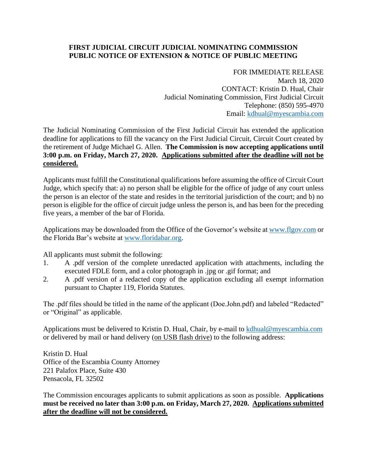## **FIRST JUDICIAL CIRCUIT JUDICIAL NOMINATING COMMISSION PUBLIC NOTICE OF EXTENSION & NOTICE OF PUBLIC MEETING**

FOR IMMEDIATE RELEASE March 18, 2020 CONTACT: Kristin D. Hual, Chair Judicial Nominating Commission, First Judicial Circuit Telephone: (850) 595-4970 Email: [kdhual@myescambia.com](mailto:kdhual@myescambia.com)

The Judicial Nominating Commission of the First Judicial Circuit has extended the application deadline for applications to fill the vacancy on the First Judicial Circuit, Circuit Court created by the retirement of Judge Michael G. Allen. **The Commission is now accepting applications until 3:00 p.m. on Friday, March 27, 2020. Applications submitted after the deadline will not be considered.**

Applicants must fulfill the Constitutional qualifications before assuming the office of Circuit Court Judge, which specify that: a) no person shall be eligible for the office of judge of any court unless the person is an elector of the state and resides in the territorial jurisdiction of the court; and b) no person is eligible for the office of circuit judge unless the person is, and has been for the preceding five years, a member of the bar of Florida.

Applications may be downloaded from the Office of the Governor's website at [www.flgov.com](http://www.flgov.com/) or the Florida Bar's website at [www.floridabar.org.](http://www.floridabar.org/)

All applicants must submit the following:

- 1. A .pdf version of the complete unredacted application with attachments, including the executed FDLE form, and a color photograph in .jpg or .gif format; and
- 2. A .pdf version of a redacted copy of the application excluding all exempt information pursuant to Chapter 119, Florida Statutes.

The .pdf files should be titled in the name of the applicant (Doe.John.pdf) and labeled "Redacted" or "Original" as applicable.

Applications must be delivered to Kristin D. Hual, Chair, by e-mail to [kdhual@myescambia.com](mailto:kdhual@myescambia.com/) or delivered by mail or hand delivery (on USB flash drive) to the following address:

Kristin D. Hual Office of the Escambia County Attorney 221 Palafox Place, Suite 430 Pensacola, FL 32502

The Commission encourages applicants to submit applications as soon as possible. **Applications must be received no later than 3:00 p.m. on Friday, March 27, 2020. Applications submitted after the deadline will not be considered.**